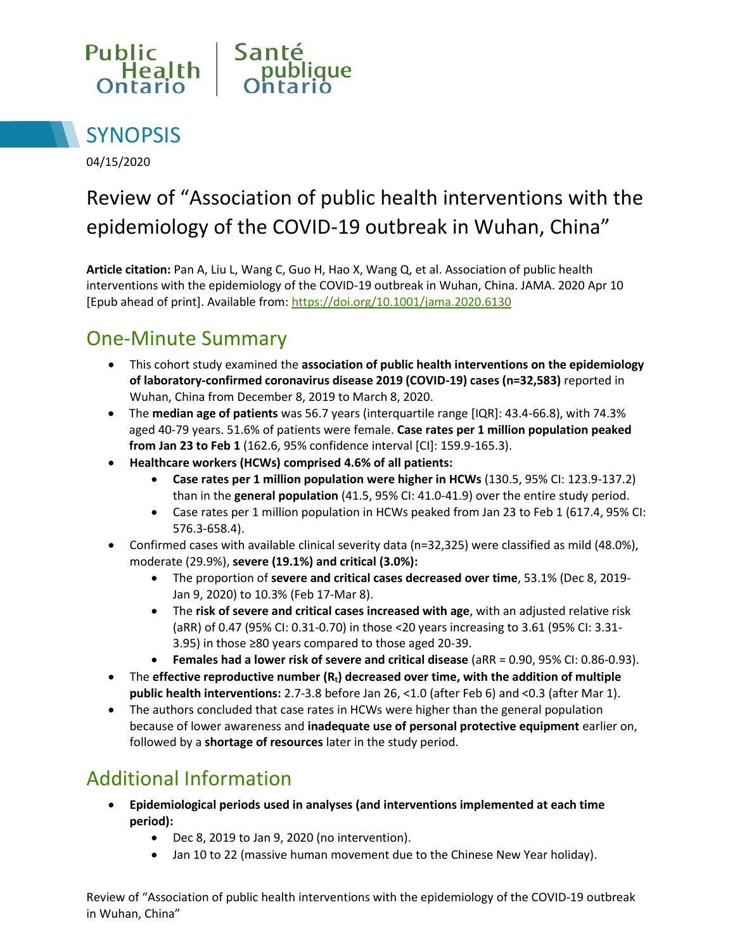



04/15/2020

# Review of "Association of public health interventions with the epidemiology of the COVID-19 outbreak in Wuhan, China"

**Article citation:** Pan A, Liu L, Wang C, Guo H, Hao X, Wang Q, et al. Association of public health interventions with the epidemiology of the COVID-19 outbreak in Wuhan, China. JAMA. 2020 Apr 10 [Epub ahead of print]. Available from:<https://doi.org/10.1001/jama.2020.6130>

### One-Minute Summary

- This cohort study examined the **association of public health interventions on the epidemiology of laboratory-confirmed coronavirus disease 2019 (COVID-19) cases (n=32,583)** reported in Wuhan, China from December 8, 2019 to March 8, 2020.
- The **median age of patients** was 56.7 years (interquartile range [IQR]: 43.4-66.8), with 74.3% aged 40-79 years. 51.6% of patients were female. **Case rates per 1 million population peaked from Jan 23 to Feb 1** (162.6, 95% confidence interval [CI]: 159.9-165.3).
- **Healthcare workers (HCWs) comprised 4.6% of all patients:**
	- **Case rates per 1 million population were higher in HCWs** (130.5, 95% CI: 123.9-137.2) than in the **general population** (41.5, 95% CI: 41.0-41.9) over the entire study period.
	- Case rates per 1 million population in HCWs peaked from Jan 23 to Feb 1 (617.4, 95% CI: 576.3-658.4).
- Confirmed cases with available clinical severity data (n=32,325) were classified as mild (48.0%), moderate (29.9%), **severe (19.1%) and critical (3.0%):**
	- The proportion of **severe and critical cases decreased over time**, 53.1% (Dec 8, 2019- Jan 9, 2020) to 10.3% (Feb 17-Mar 8).
	- The **risk of severe and critical cases increased with age**, with an adjusted relative risk (aRR) of 0.47 (95% CI: 0.31-0.70) in those <20 years increasing to 3.61 (95% CI: 3.31- 3.95) in those ≥80 years compared to those aged 20-39.
	- **Females had a lower risk of severe and critical disease** (aRR = 0.90, 95% CI: 0.86-0.93).
- The **effective reproductive number (Rt) decreased over time, with the addition of multiple public health interventions:** 2.7-3.8 before Jan 26, <1.0 (after Feb 6) and <0.3 (after Mar 1).
- The authors concluded that case rates in HCWs were higher than the general population because of lower awareness and **inadequate use of personal protective equipment** earlier on, followed by a **shortage of resources** later in the study period.

## Additional Information

- **Epidemiological periods used in analyses (and interventions implemented at each time period):** 
	- Dec 8, 2019 to Jan 9, 2020 (no intervention).
	- Jan 10 to 22 (massive human movement due to the Chinese New Year holiday).

Review of "Association of public health interventions with the epidemiology of the COVID-19 outbreak in Wuhan, China"